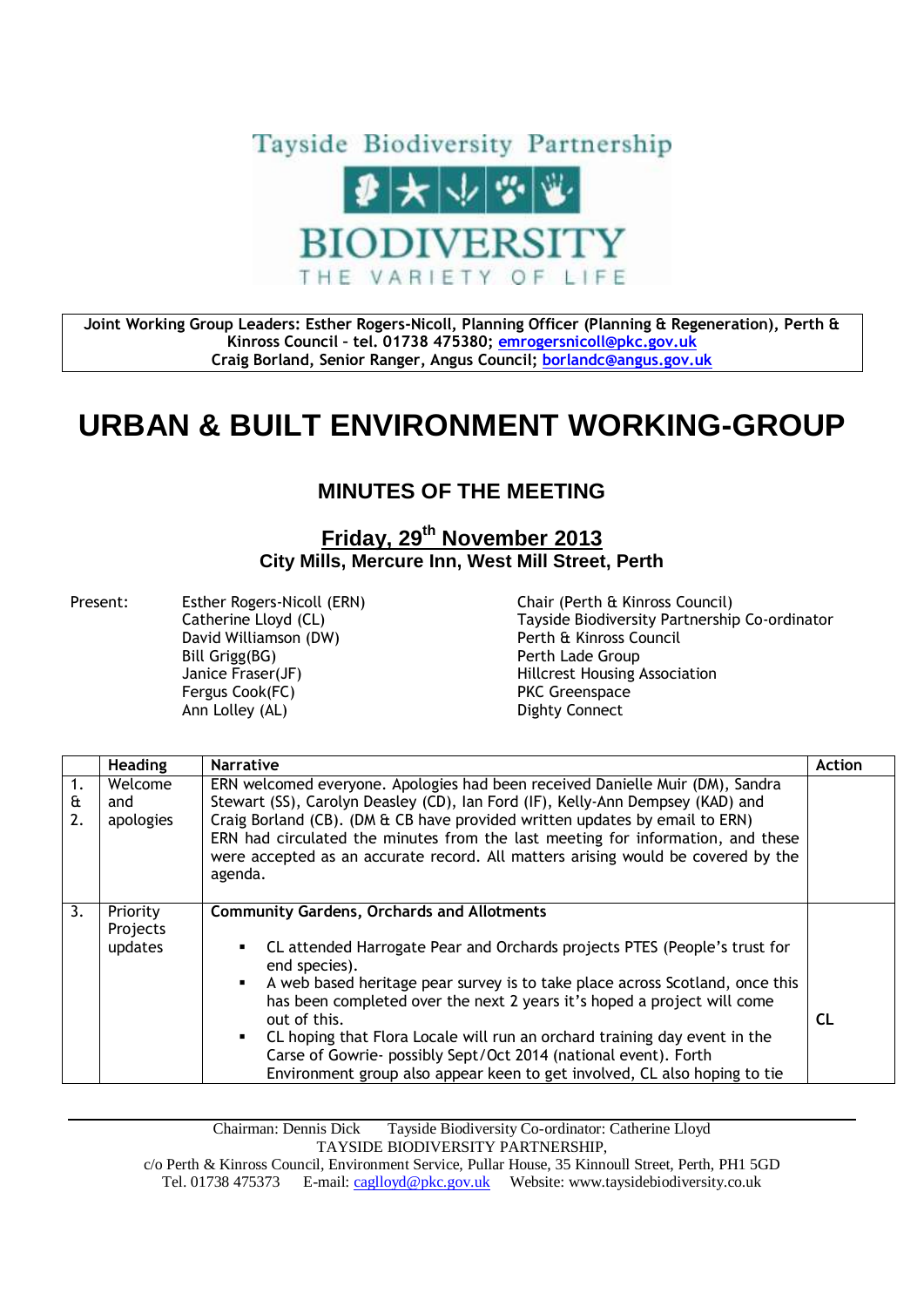

**Joint Working Group Leaders: Esther Rogers-Nicoll, Planning Officer (Planning & Regeneration), Perth & Kinross Council – tel. 01738 475380; [emrogersnicoll@pkc.gov.uk](mailto:emrogersnicoll@pkc.gov.uk) Craig Borland, Senior Ranger, Angus Council; [borlandc@angus.gov.uk](mailto:borlandc@angus.gov.uk)**

## **URBAN & BUILT ENVIRONMENT WORKING-GROUP**

## **MINUTES OF THE MEETING**

## **Friday, 29th November 2013 City Mills, Mercure Inn, West Mill Street, Perth**

Present: Esther Rogers-Nicoll (ERN) Chair (Perth & Kinross Council) David Williamson (DW) Perth & Kinross Council Bill Grigg(BG) **Perth Lade Group** Fergus Cook(FC) **PKC** Greenspace Ann Lolley (AL) **Dighty Connect** 

Catherine Lloyd (CL) Tayside Biodiversity Partnership Co-ordinator Janice Fraser(JF) Hillcrest Housing Association

|               | <b>Heading</b>                  | <b>Narrative</b>                                                                                                                                                                                                                                                                                                                                                                                                                                                                                                                                        | <b>Action</b> |
|---------------|---------------------------------|---------------------------------------------------------------------------------------------------------------------------------------------------------------------------------------------------------------------------------------------------------------------------------------------------------------------------------------------------------------------------------------------------------------------------------------------------------------------------------------------------------------------------------------------------------|---------------|
| 1.<br>£<br>2. | Welcome<br>and<br>apologies     | ERN welcomed everyone. Apologies had been received Danielle Muir (DM), Sandra<br>Stewart (SS), Carolyn Deasley (CD), Ian Ford (IF), Kelly-Ann Dempsey (KAD) and<br>Craig Borland (CB). (DM & CB have provided written updates by email to ERN)<br>ERN had circulated the minutes from the last meeting for information, and these<br>were accepted as an accurate record. All matters arising would be covered by the<br>agenda.                                                                                                                        |               |
| 3.            | Priority<br>Projects<br>updates | <b>Community Gardens, Orchards and Allotments</b><br>CL attended Harrogate Pear and Orchards projects PTES (People's trust for<br>end species).<br>A web based heritage pear survey is to take place across Scotland, once this<br>has been completed over the next 2 years it's hoped a project will come<br>out of this.<br>CL hoping that Flora Locale will run an orchard training day event in the<br>Carse of Gowrie- possibly Sept/Oct 2014 (national event). Forth<br>Environment group also appear keen to get involved, CL also hoping to tie | <b>CL</b>     |

Chairman: Dennis Dick Tayside Biodiversity Co-ordinator: Catherine Lloyd TAYSIDE BIODIVERSITY PARTNERSHIP,

c/o Perth & Kinross Council, Environment Service, Pullar House, 35 Kinnoull Street, Perth, PH1 5GD Tel. 01738 475373 E-mail[: caglloyd@pkc.gov.uk](mailto:caglloyd@pkc.gov.uk) Website: www.taysidebiodiversity.co.uk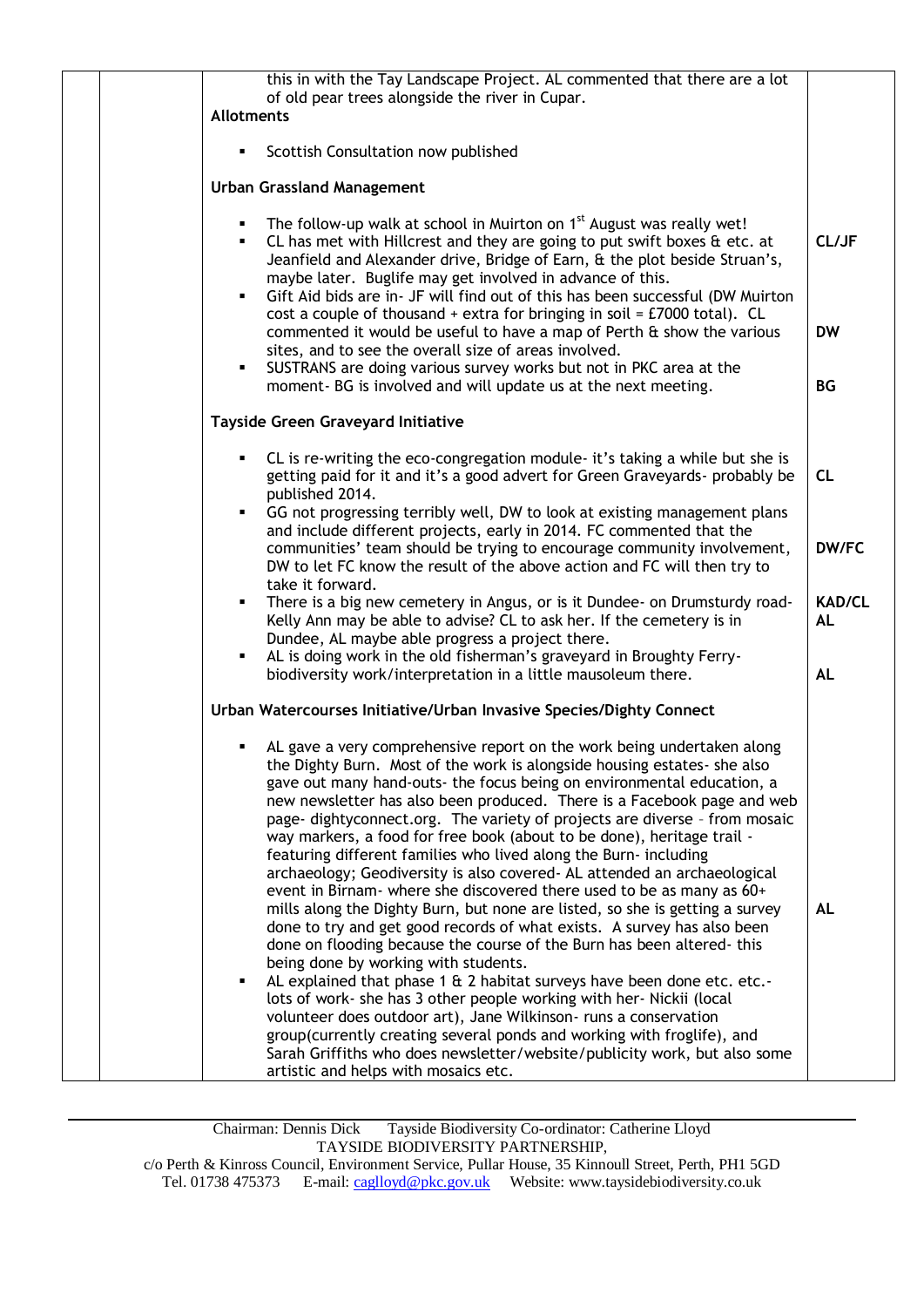| this in with the Tay Landscape Project. AL commented that there are a lot<br>of old pear trees alongside the river in Cupar.                                                                                                                                                                                                                                                                                                                                                                                                                                                                                                                                                                                                                                                                                                                                                                                                                                                                                                                                                                                                                                                                                                                                                                                                                      |                                                                                                                                                                                                                                                                                                                                                                                                                                                                                                                          |
|---------------------------------------------------------------------------------------------------------------------------------------------------------------------------------------------------------------------------------------------------------------------------------------------------------------------------------------------------------------------------------------------------------------------------------------------------------------------------------------------------------------------------------------------------------------------------------------------------------------------------------------------------------------------------------------------------------------------------------------------------------------------------------------------------------------------------------------------------------------------------------------------------------------------------------------------------------------------------------------------------------------------------------------------------------------------------------------------------------------------------------------------------------------------------------------------------------------------------------------------------------------------------------------------------------------------------------------------------|--------------------------------------------------------------------------------------------------------------------------------------------------------------------------------------------------------------------------------------------------------------------------------------------------------------------------------------------------------------------------------------------------------------------------------------------------------------------------------------------------------------------------|
|                                                                                                                                                                                                                                                                                                                                                                                                                                                                                                                                                                                                                                                                                                                                                                                                                                                                                                                                                                                                                                                                                                                                                                                                                                                                                                                                                   |                                                                                                                                                                                                                                                                                                                                                                                                                                                                                                                          |
|                                                                                                                                                                                                                                                                                                                                                                                                                                                                                                                                                                                                                                                                                                                                                                                                                                                                                                                                                                                                                                                                                                                                                                                                                                                                                                                                                   |                                                                                                                                                                                                                                                                                                                                                                                                                                                                                                                          |
|                                                                                                                                                                                                                                                                                                                                                                                                                                                                                                                                                                                                                                                                                                                                                                                                                                                                                                                                                                                                                                                                                                                                                                                                                                                                                                                                                   |                                                                                                                                                                                                                                                                                                                                                                                                                                                                                                                          |
| CL has met with Hillcrest and they are going to put swift boxes & etc. at<br>Jeanfield and Alexander drive, Bridge of Earn, & the plot beside Struan's,<br>maybe later. Buglife may get involved in advance of this.<br>٠                                                                                                                                                                                                                                                                                                                                                                                                                                                                                                                                                                                                                                                                                                                                                                                                                                                                                                                                                                                                                                                                                                                         | CL/JF                                                                                                                                                                                                                                                                                                                                                                                                                                                                                                                    |
| cost a couple of thousand + extra for bringing in soil = $E7000$ total). CL<br>commented it would be useful to have a map of Perth & show the various<br>sites, and to see the overall size of areas involved.                                                                                                                                                                                                                                                                                                                                                                                                                                                                                                                                                                                                                                                                                                                                                                                                                                                                                                                                                                                                                                                                                                                                    | <b>DW</b>                                                                                                                                                                                                                                                                                                                                                                                                                                                                                                                |
| SUSTRANS are doing various survey works but not in PKC area at the<br>moment- BG is involved and will update us at the next meeting.                                                                                                                                                                                                                                                                                                                                                                                                                                                                                                                                                                                                                                                                                                                                                                                                                                                                                                                                                                                                                                                                                                                                                                                                              | <b>BG</b>                                                                                                                                                                                                                                                                                                                                                                                                                                                                                                                |
| Tayside Green Graveyard Initiative                                                                                                                                                                                                                                                                                                                                                                                                                                                                                                                                                                                                                                                                                                                                                                                                                                                                                                                                                                                                                                                                                                                                                                                                                                                                                                                |                                                                                                                                                                                                                                                                                                                                                                                                                                                                                                                          |
| CL is re-writing the eco-congregation module- it's taking a while but she is<br>getting paid for it and it's a good advert for Green Graveyards- probably be<br>published 2014.                                                                                                                                                                                                                                                                                                                                                                                                                                                                                                                                                                                                                                                                                                                                                                                                                                                                                                                                                                                                                                                                                                                                                                   | <b>CL</b>                                                                                                                                                                                                                                                                                                                                                                                                                                                                                                                |
| and include different projects, early in 2014. FC commented that the<br>communities' team should be trying to encourage community involvement,                                                                                                                                                                                                                                                                                                                                                                                                                                                                                                                                                                                                                                                                                                                                                                                                                                                                                                                                                                                                                                                                                                                                                                                                    | DW/FC                                                                                                                                                                                                                                                                                                                                                                                                                                                                                                                    |
| take it forward.<br>There is a big new cemetery in Angus, or is it Dundee- on Drumsturdy road-<br>Kelly Ann may be able to advise? CL to ask her. If the cemetery is in                                                                                                                                                                                                                                                                                                                                                                                                                                                                                                                                                                                                                                                                                                                                                                                                                                                                                                                                                                                                                                                                                                                                                                           | <b>KAD/CL</b><br><b>AL</b>                                                                                                                                                                                                                                                                                                                                                                                                                                                                                               |
| AL is doing work in the old fisherman's graveyard in Broughty Ferry-<br>biodiversity work/interpretation in a little mausoleum there.                                                                                                                                                                                                                                                                                                                                                                                                                                                                                                                                                                                                                                                                                                                                                                                                                                                                                                                                                                                                                                                                                                                                                                                                             | <b>AL</b>                                                                                                                                                                                                                                                                                                                                                                                                                                                                                                                |
| Urban Watercourses Initiative/Urban Invasive Species/Dighty Connect                                                                                                                                                                                                                                                                                                                                                                                                                                                                                                                                                                                                                                                                                                                                                                                                                                                                                                                                                                                                                                                                                                                                                                                                                                                                               |                                                                                                                                                                                                                                                                                                                                                                                                                                                                                                                          |
| AL gave a very comprehensive report on the work being undertaken along<br>the Dighty Burn. Most of the work is alongside housing estates- she also<br>gave out many hand-outs- the focus being on environmental education, a<br>new newsletter has also been produced. There is a Facebook page and web<br>page- dightyconnect.org. The variety of projects are diverse - from mosaic<br>way markers, a food for free book (about to be done), heritage trail -<br>featuring different families who lived along the Burn- including<br>archaeology; Geodiversity is also covered- AL attended an archaeological<br>event in Birnam- where she discovered there used to be as many as 60+<br>mills along the Dighty Burn, but none are listed, so she is getting a survey<br>done to try and get good records of what exists. A survey has also been<br>done on flooding because the course of the Burn has been altered-this<br>being done by working with students.<br>AL explained that phase 1 & 2 habitat surveys have been done etc. etc.-<br>lots of work- she has 3 other people working with her- Nickii (local<br>volunteer does outdoor art), Jane Wilkinson-runs a conservation<br>group(currently creating several ponds and working with froglife), and<br>Sarah Griffiths who does newsletter/website/publicity work, but also some | AL                                                                                                                                                                                                                                                                                                                                                                                                                                                                                                                       |
|                                                                                                                                                                                                                                                                                                                                                                                                                                                                                                                                                                                                                                                                                                                                                                                                                                                                                                                                                                                                                                                                                                                                                                                                                                                                                                                                                   | <b>Allotments</b><br>Scottish Consultation now published<br><b>Urban Grassland Management</b><br>The follow-up walk at school in Muirton on 1 <sup>st</sup> August was really wet!<br>Gift Aid bids are in- JF will find out of this has been successful (DW Muirton<br>GG not progressing terribly well, DW to look at existing management plans<br>DW to let FC know the result of the above action and FC will then try to<br>Dundee, AL maybe able progress a project there.<br>artistic and helps with mosaics etc. |

Chairman: Dennis Dick Tayside Biodiversity Co-ordinator: Catherine Lloyd TAYSIDE BIODIVERSITY PARTNERSHIP, c/o Perth & Kinross Council, Environment Service, Pullar House, 35 Kinnoull Street, Perth, PH1 5GD Tel. 01738 475373 E-mail[: caglloyd@pkc.gov.uk](mailto:caglloyd@pkc.gov.uk) Website: www.taysidebiodiversity.co.uk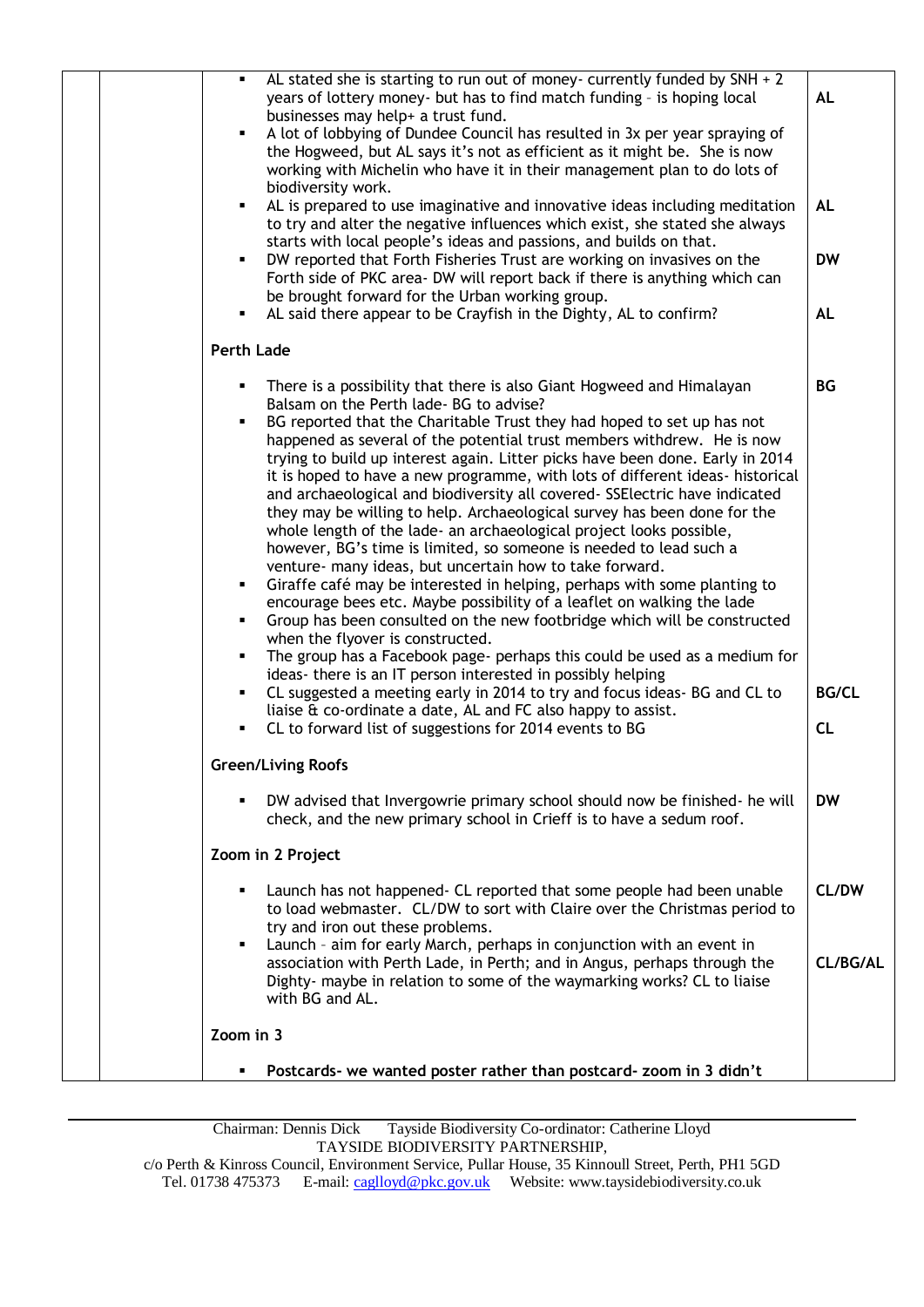| AL stated she is starting to run out of money- currently funded by $SNH + 2$<br>٠<br>years of lottery money- but has to find match funding - is hoping local<br>businesses may help+ a trust fund.<br>A lot of lobbying of Dundee Council has resulted in 3x per year spraying of<br>the Hogweed, but AL says it's not as efficient as it might be. She is now                                                                                                                                                                                                                                                                                                                                                                                                                                                                                                                                                                                                                                                                                                                                                                                                                                                                                                                                                                                                                                                                                            | <b>AL</b>                       |
|-----------------------------------------------------------------------------------------------------------------------------------------------------------------------------------------------------------------------------------------------------------------------------------------------------------------------------------------------------------------------------------------------------------------------------------------------------------------------------------------------------------------------------------------------------------------------------------------------------------------------------------------------------------------------------------------------------------------------------------------------------------------------------------------------------------------------------------------------------------------------------------------------------------------------------------------------------------------------------------------------------------------------------------------------------------------------------------------------------------------------------------------------------------------------------------------------------------------------------------------------------------------------------------------------------------------------------------------------------------------------------------------------------------------------------------------------------------|---------------------------------|
| working with Michelin who have it in their management plan to do lots of<br>biodiversity work.                                                                                                                                                                                                                                                                                                                                                                                                                                                                                                                                                                                                                                                                                                                                                                                                                                                                                                                                                                                                                                                                                                                                                                                                                                                                                                                                                            |                                 |
| AL is prepared to use imaginative and innovative ideas including meditation<br>to try and alter the negative influences which exist, she stated she always<br>starts with local people's ideas and passions, and builds on that.                                                                                                                                                                                                                                                                                                                                                                                                                                                                                                                                                                                                                                                                                                                                                                                                                                                                                                                                                                                                                                                                                                                                                                                                                          | <b>AL</b>                       |
| DW reported that Forth Fisheries Trust are working on invasives on the<br>٠<br>Forth side of PKC area- DW will report back if there is anything which can<br>be brought forward for the Urban working group.                                                                                                                                                                                                                                                                                                                                                                                                                                                                                                                                                                                                                                                                                                                                                                                                                                                                                                                                                                                                                                                                                                                                                                                                                                              | <b>DW</b>                       |
| AL said there appear to be Crayfish in the Dighty, AL to confirm?                                                                                                                                                                                                                                                                                                                                                                                                                                                                                                                                                                                                                                                                                                                                                                                                                                                                                                                                                                                                                                                                                                                                                                                                                                                                                                                                                                                         | <b>AL</b>                       |
| <b>Perth Lade</b>                                                                                                                                                                                                                                                                                                                                                                                                                                                                                                                                                                                                                                                                                                                                                                                                                                                                                                                                                                                                                                                                                                                                                                                                                                                                                                                                                                                                                                         |                                 |
| There is a possibility that there is also Giant Hogweed and Himalayan<br>Balsam on the Perth lade- BG to advise?<br>BG reported that the Charitable Trust they had hoped to set up has not<br>happened as several of the potential trust members withdrew. He is now<br>trying to build up interest again. Litter picks have been done. Early in 2014<br>it is hoped to have a new programme, with lots of different ideas- historical<br>and archaeological and biodiversity all covered- SSElectric have indicated<br>they may be willing to help. Archaeological survey has been done for the<br>whole length of the lade- an archaeological project looks possible,<br>however, BG's time is limited, so someone is needed to lead such a<br>venture- many ideas, but uncertain how to take forward.<br>Giraffe café may be interested in helping, perhaps with some planting to<br>$\blacksquare$<br>encourage bees etc. Maybe possibility of a leaflet on walking the lade<br>Group has been consulted on the new footbridge which will be constructed<br>when the flyover is constructed.<br>The group has a Facebook page- perhaps this could be used as a medium for<br>٠<br>ideas- there is an IT person interested in possibly helping<br>CL suggested a meeting early in 2014 to try and focus ideas- BG and CL to<br>liaise & co-ordinate a date, AL and FC also happy to assist.<br>CL to forward list of suggestions for 2014 events to BG | <b>BG</b><br><b>BG/CL</b><br>CL |
| <b>Green/Living Roofs</b>                                                                                                                                                                                                                                                                                                                                                                                                                                                                                                                                                                                                                                                                                                                                                                                                                                                                                                                                                                                                                                                                                                                                                                                                                                                                                                                                                                                                                                 |                                 |
| DW advised that Invergowrie primary school should now be finished- he will<br>check, and the new primary school in Crieff is to have a sedum roof.                                                                                                                                                                                                                                                                                                                                                                                                                                                                                                                                                                                                                                                                                                                                                                                                                                                                                                                                                                                                                                                                                                                                                                                                                                                                                                        | <b>DW</b>                       |
| Zoom in 2 Project                                                                                                                                                                                                                                                                                                                                                                                                                                                                                                                                                                                                                                                                                                                                                                                                                                                                                                                                                                                                                                                                                                                                                                                                                                                                                                                                                                                                                                         |                                 |
| Launch has not happened - CL reported that some people had been unable<br>to load webmaster. CL/DW to sort with Claire over the Christmas period to<br>try and iron out these problems.<br>٠                                                                                                                                                                                                                                                                                                                                                                                                                                                                                                                                                                                                                                                                                                                                                                                                                                                                                                                                                                                                                                                                                                                                                                                                                                                              | CL/DW                           |
| Launch - aim for early March, perhaps in conjunction with an event in<br>association with Perth Lade, in Perth; and in Angus, perhaps through the<br>Dighty- maybe in relation to some of the waymarking works? CL to liaise<br>with BG and AL.                                                                                                                                                                                                                                                                                                                                                                                                                                                                                                                                                                                                                                                                                                                                                                                                                                                                                                                                                                                                                                                                                                                                                                                                           | CL/BG/AL                        |
| Zoom in 3                                                                                                                                                                                                                                                                                                                                                                                                                                                                                                                                                                                                                                                                                                                                                                                                                                                                                                                                                                                                                                                                                                                                                                                                                                                                                                                                                                                                                                                 |                                 |
| Postcards- we wanted poster rather than postcard- zoom in 3 didn't<br>٠                                                                                                                                                                                                                                                                                                                                                                                                                                                                                                                                                                                                                                                                                                                                                                                                                                                                                                                                                                                                                                                                                                                                                                                                                                                                                                                                                                                   |                                 |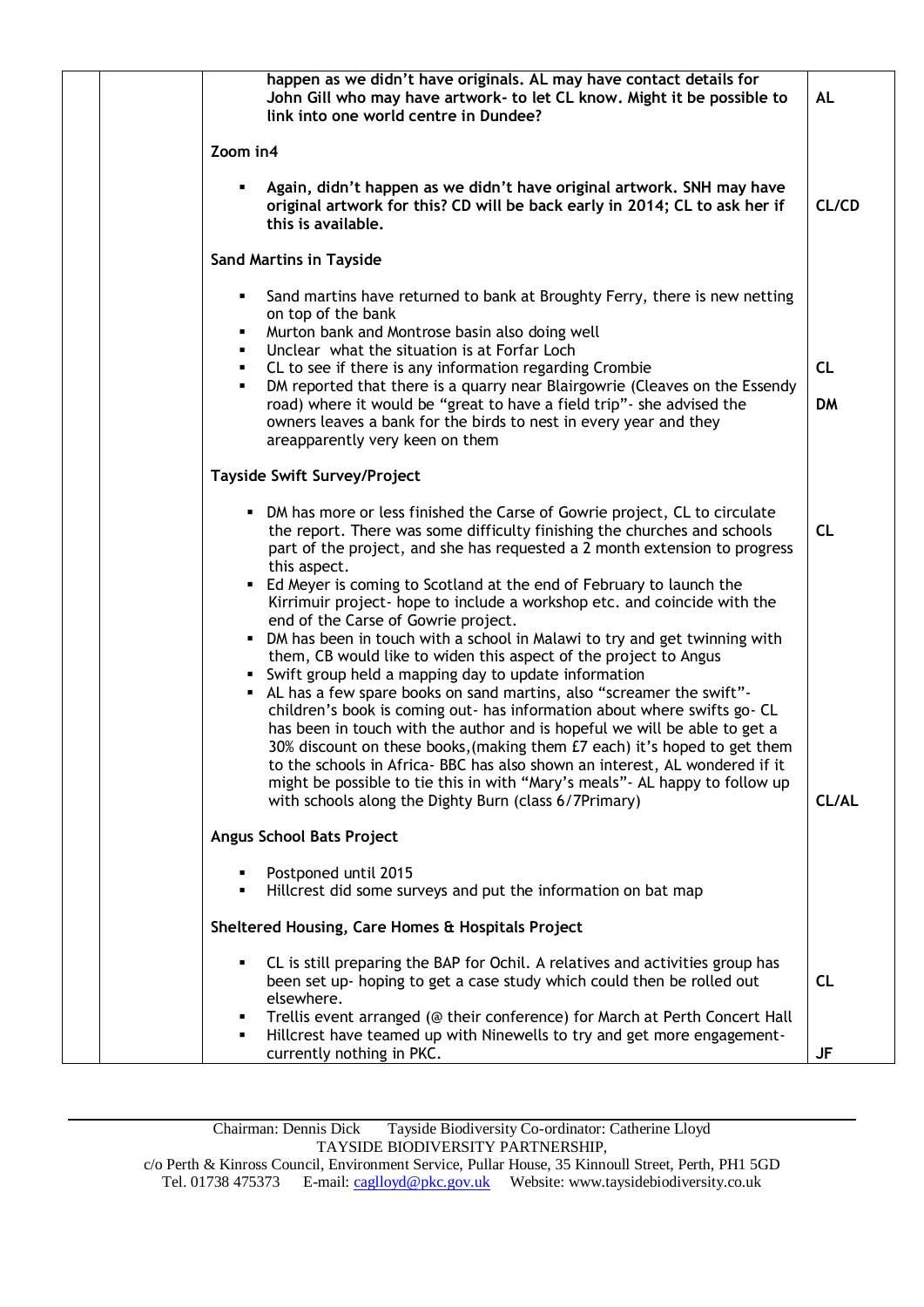|  | happen as we didn't have originals. AL may have contact details for<br>John Gill who may have artwork- to let CL know. Might it be possible to<br>link into one world centre in Dundee?                                                                                                                               | <b>AL</b> |
|--|-----------------------------------------------------------------------------------------------------------------------------------------------------------------------------------------------------------------------------------------------------------------------------------------------------------------------|-----------|
|  | Zoom in4                                                                                                                                                                                                                                                                                                              |           |
|  | Again, didn't happen as we didn't have original artwork. SNH may have<br>original artwork for this? CD will be back early in 2014; CL to ask her if<br>this is available.                                                                                                                                             | CL/CD     |
|  | <b>Sand Martins in Tayside</b>                                                                                                                                                                                                                                                                                        |           |
|  | Sand martins have returned to bank at Broughty Ferry, there is new netting<br>٠<br>on top of the bank<br>Murton bank and Montrose basin also doing well<br>٠                                                                                                                                                          |           |
|  | Unclear what the situation is at Forfar Loch<br>٠<br>CL to see if there is any information regarding Crombie<br>٠                                                                                                                                                                                                     | <b>CL</b> |
|  | DM reported that there is a quarry near Blairgowrie (Cleaves on the Essendy<br>٠<br>road) where it would be "great to have a field trip" - she advised the                                                                                                                                                            | <b>DM</b> |
|  | owners leaves a bank for the birds to nest in every year and they<br>areapparently very keen on them                                                                                                                                                                                                                  |           |
|  | <b>Tayside Swift Survey/Project</b>                                                                                                                                                                                                                                                                                   |           |
|  | • DM has more or less finished the Carse of Gowrie project, CL to circulate<br>the report. There was some difficulty finishing the churches and schools<br>part of the project, and she has requested a 2 month extension to progress<br>this aspect.                                                                 | CL        |
|  | • Ed Meyer is coming to Scotland at the end of February to launch the<br>Kirrimuir project- hope to include a workshop etc. and coincide with the<br>end of the Carse of Gowrie project.                                                                                                                              |           |
|  | • DM has been in touch with a school in Malawi to try and get twinning with<br>them, CB would like to widen this aspect of the project to Angus<br>• Swift group held a mapping day to update information                                                                                                             |           |
|  | • AL has a few spare books on sand martins, also "screamer the swift"-<br>children's book is coming out- has information about where swifts go- CL                                                                                                                                                                    |           |
|  | has been in touch with the author and is hopeful we will be able to get a<br>30% discount on these books, (making them £7 each) it's hoped to get them<br>to the schools in Africa- BBC has also shown an interest, AL wondered if it<br>might be possible to tie this in with "Mary's meals" - AL happy to follow up |           |
|  | with schools along the Dighty Burn (class 6/7Primary)                                                                                                                                                                                                                                                                 | CL/AL     |
|  | Angus School Bats Project                                                                                                                                                                                                                                                                                             |           |
|  | Postponed until 2015<br>Hillcrest did some surveys and put the information on bat map                                                                                                                                                                                                                                 |           |
|  | Sheltered Housing, Care Homes & Hospitals Project                                                                                                                                                                                                                                                                     |           |
|  | CL is still preparing the BAP for Ochil. A relatives and activities group has<br>٠<br>been set up- hoping to get a case study which could then be rolled out<br>elsewhere.                                                                                                                                            | <b>CL</b> |
|  | Trellis event arranged (@ their conference) for March at Perth Concert Hall<br>Hillcrest have teamed up with Ninewells to try and get more engagement-<br>currently nothing in PKC.                                                                                                                                   | JF        |
|  |                                                                                                                                                                                                                                                                                                                       |           |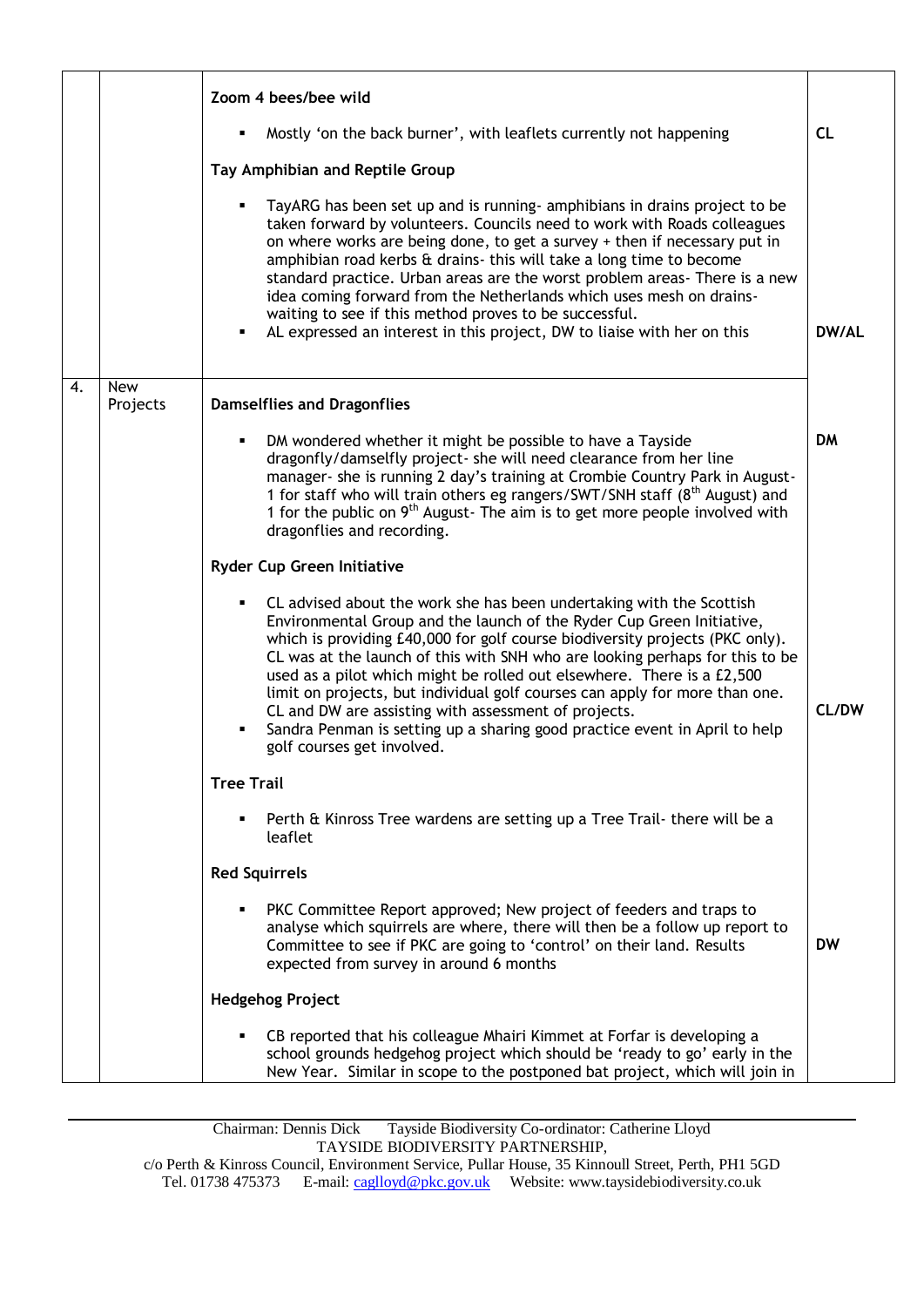|    |                        | Zoom 4 bees/bee wild                                                                                                                                                                                                                                                                                                                                                                                                                                                                                                                                                                                                                       |              |
|----|------------------------|--------------------------------------------------------------------------------------------------------------------------------------------------------------------------------------------------------------------------------------------------------------------------------------------------------------------------------------------------------------------------------------------------------------------------------------------------------------------------------------------------------------------------------------------------------------------------------------------------------------------------------------------|--------------|
|    |                        | Mostly 'on the back burner', with leaflets currently not happening                                                                                                                                                                                                                                                                                                                                                                                                                                                                                                                                                                         | <b>CL</b>    |
|    |                        | Tay Amphibian and Reptile Group                                                                                                                                                                                                                                                                                                                                                                                                                                                                                                                                                                                                            |              |
|    |                        | TayARG has been set up and is running- amphibians in drains project to be<br>taken forward by volunteers. Councils need to work with Roads colleagues<br>on where works are being done, to get a survey + then if necessary put in<br>amphibian road kerbs & drains- this will take a long time to become<br>standard practice. Urban areas are the worst problem areas- There is a new<br>idea coming forward from the Netherlands which uses mesh on drains-<br>waiting to see if this method proves to be successful.<br>AL expressed an interest in this project, DW to liaise with her on this                                        | <b>DW/AL</b> |
| 4. | <b>New</b><br>Projects | <b>Damselflies and Dragonflies</b>                                                                                                                                                                                                                                                                                                                                                                                                                                                                                                                                                                                                         |              |
|    |                        | DM wondered whether it might be possible to have a Tayside<br>dragonfly/damselfly project- she will need clearance from her line<br>manager- she is running 2 day's training at Crombie Country Park in August-<br>1 for staff who will train others eg rangers/SWT/SNH staff (8 <sup>th</sup> August) and<br>1 for the public on $9th$ August-The aim is to get more people involved with<br>dragonflies and recording.                                                                                                                                                                                                                   | DM           |
|    |                        | <b>Ryder Cup Green Initiative</b>                                                                                                                                                                                                                                                                                                                                                                                                                                                                                                                                                                                                          |              |
|    |                        | CL advised about the work she has been undertaking with the Scottish<br>Environmental Group and the launch of the Ryder Cup Green Initiative,<br>which is providing £40,000 for golf course biodiversity projects (PKC only).<br>CL was at the launch of this with SNH who are looking perhaps for this to be<br>used as a pilot which might be rolled out elsewhere. There is a £2,500<br>limit on projects, but individual golf courses can apply for more than one.<br>CL and DW are assisting with assessment of projects.<br>Sandra Penman is setting up a sharing good practice event in April to help<br>golf courses get involved. | CL/DW        |
|    |                        | <b>Tree Trail</b>                                                                                                                                                                                                                                                                                                                                                                                                                                                                                                                                                                                                                          |              |
|    |                        | Perth & Kinross Tree wardens are setting up a Tree Trail-there will be a<br>leaflet                                                                                                                                                                                                                                                                                                                                                                                                                                                                                                                                                        |              |
|    |                        | <b>Red Squirrels</b>                                                                                                                                                                                                                                                                                                                                                                                                                                                                                                                                                                                                                       |              |
|    |                        | PKC Committee Report approved; New project of feeders and traps to<br>analyse which squirrels are where, there will then be a follow up report to<br>Committee to see if PKC are going to 'control' on their land. Results<br>expected from survey in around 6 months                                                                                                                                                                                                                                                                                                                                                                      | <b>DW</b>    |
|    |                        | <b>Hedgehog Project</b>                                                                                                                                                                                                                                                                                                                                                                                                                                                                                                                                                                                                                    |              |
|    |                        | CB reported that his colleague Mhairi Kimmet at Forfar is developing a<br>school grounds hedgehog project which should be 'ready to go' early in the<br>New Year. Similar in scope to the postponed bat project, which will join in                                                                                                                                                                                                                                                                                                                                                                                                        |              |